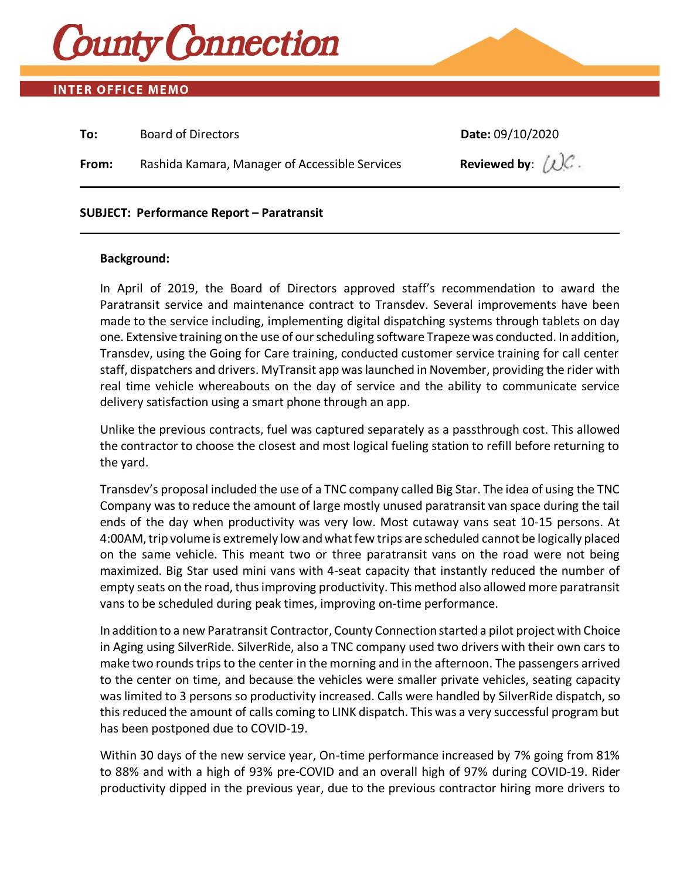

# **INTER OFFICE MEMO**

| To:   | <b>Board of Directors</b>                      | Date: 09/10/2020                      |
|-------|------------------------------------------------|---------------------------------------|
| From: | Rashida Kamara, Manager of Accessible Services | Reviewed by: $(\bigcup \mathcal{C}$ . |
|       |                                                |                                       |

### **SUBJECT: Performance Report – Paratransit**

#### **Background:**

In April of 2019, the Board of Directors approved staff's recommendation to award the Paratransit service and maintenance contract to Transdev. Several improvements have been made to the service including, implementing digital dispatching systems through tablets on day one. Extensive training on the use of our scheduling software Trapezewas conducted. In addition, Transdev, using the Going for Care training, conducted customer service training for call center staff, dispatchers and drivers. MyTransit app was launched in November, providing the rider with real time vehicle whereabouts on the day of service and the ability to communicate service delivery satisfaction using a smart phone through an app.

Unlike the previous contracts, fuel was captured separately as a passthrough cost. This allowed the contractor to choose the closest and most logical fueling station to refill before returning to the yard.

Transdev's proposal included the use of a TNC company called Big Star. The idea of using the TNC Company was to reduce the amount of large mostly unused paratransit van space during the tail ends of the day when productivity was very low. Most cutaway vans seat 10-15 persons. At 4:00AM, trip volume is extremely low and what few trips are scheduled cannot be logically placed on the same vehicle. This meant two or three paratransit vans on the road were not being maximized. Big Star used mini vans with 4-seat capacity that instantly reduced the number of empty seats on the road, thus improving productivity. This method also allowed more paratransit vans to be scheduled during peak times, improving on-time performance.

In addition to a new Paratransit Contractor, County Connection started a pilot project with Choice in Aging using SilverRide. SilverRide, also a TNC company used two drivers with their own cars to make two rounds trips to the center in the morning and in the afternoon. The passengers arrived to the center on time, and because the vehicles were smaller private vehicles, seating capacity was limited to 3 persons so productivity increased. Calls were handled by SilverRide dispatch, so this reduced the amount of calls coming to LINK dispatch. This was a very successful program but has been postponed due to COVID-19.

Within 30 days of the new service year, On-time performance increased by 7% going from 81% to 88% and with a high of 93% pre-COVID and an overall high of 97% during COVID-19. Rider productivity dipped in the previous year, due to the previous contractor hiring more drivers to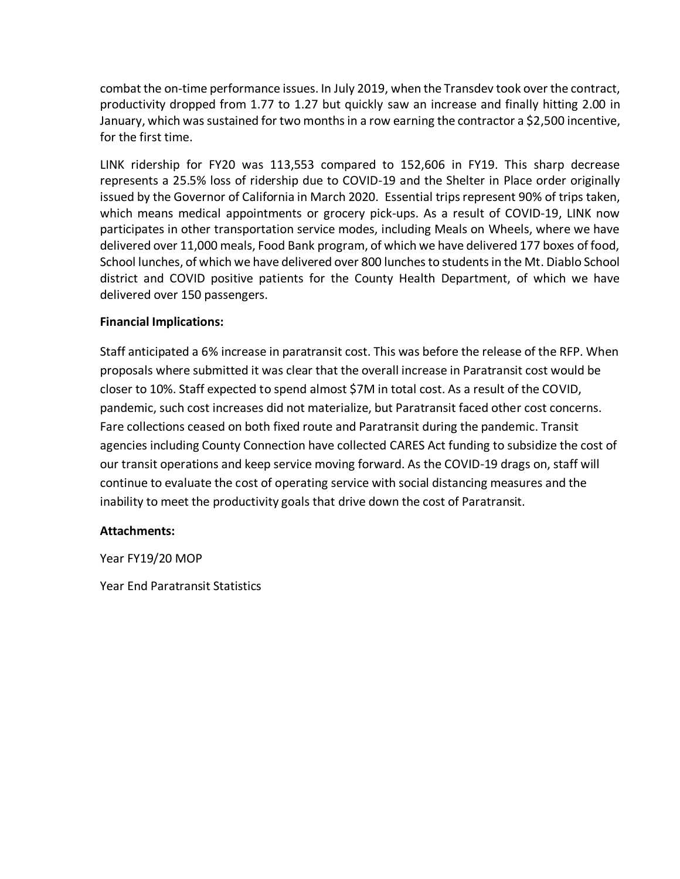combat the on-time performance issues. In July 2019, when the Transdev took over the contract, productivity dropped from 1.77 to 1.27 but quickly saw an increase and finally hitting 2.00 in January, which was sustained for two months in a row earning the contractor a \$2,500 incentive, for the first time.

LINK ridership for FY20 was 113,553 compared to 152,606 in FY19. This sharp decrease represents a 25.5% loss of ridership due to COVID-19 and the Shelter in Place order originally issued by the Governor of California in March 2020. Essential trips represent 90% of trips taken, which means medical appointments or grocery pick-ups. As a result of COVID-19, LINK now participates in other transportation service modes, including Meals on Wheels, where we have delivered over 11,000 meals, Food Bank program, of which we have delivered 177 boxes of food, School lunches, of which we have delivered over 800 lunches to students in the Mt. Diablo School district and COVID positive patients for the County Health Department, of which we have delivered over 150 passengers.

## **Financial Implications:**

Staff anticipated a 6% increase in paratransit cost. This was before the release of the RFP. When proposals where submitted it was clear that the overall increase in Paratransit cost would be closer to 10%. Staff expected to spend almost \$7M in total cost. As a result of the COVID, pandemic, such cost increases did not materialize, but Paratransit faced other cost concerns. Fare collections ceased on both fixed route and Paratransit during the pandemic. Transit agencies including County Connection have collected CARES Act funding to subsidize the cost of our transit operations and keep service moving forward. As the COVID-19 drags on, staff will continue to evaluate the cost of operating service with social distancing measures and the inability to meet the productivity goals that drive down the cost of Paratransit.

## **Attachments:**

Year FY19/20 MOP

Year End Paratransit Statistics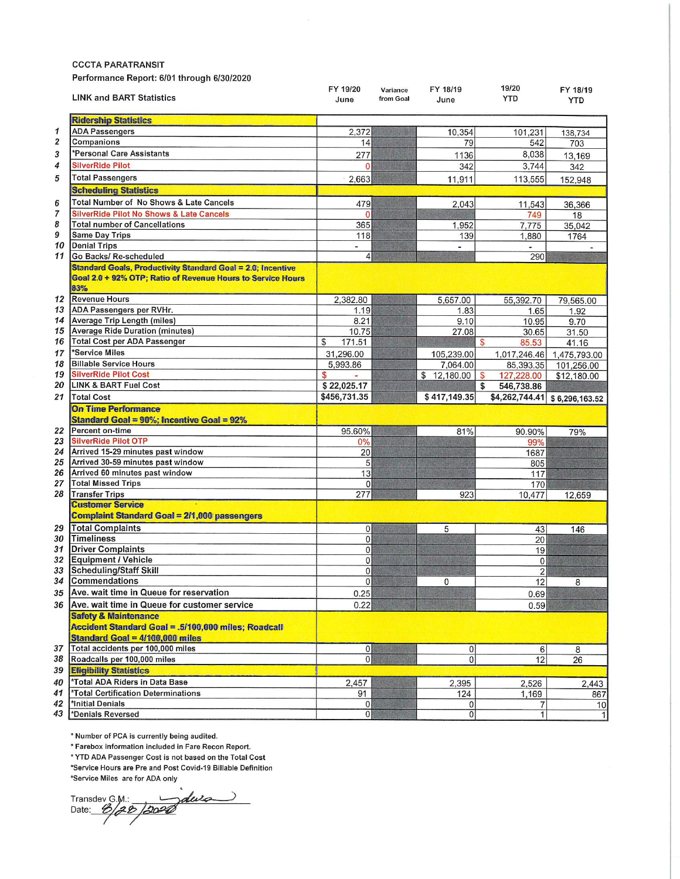**CCCTA PARATRANSIT** 

Performance Report: 6/01 through 6/30/2020

|          | <b>LINK and BART Statistics</b>                                                                                                          | FY 19/20<br>June | Variance<br>from Goal | FY 18/19<br>June | 19/20<br>YTD     | FY 18/19<br><b>YTD</b> |  |
|----------|------------------------------------------------------------------------------------------------------------------------------------------|------------------|-----------------------|------------------|------------------|------------------------|--|
|          | <b>Ridership Statistics</b>                                                                                                              |                  |                       |                  |                  |                        |  |
| 1        | <b>ADA Passengers</b>                                                                                                                    | 2,372            |                       | 10,354           | 101,231          | 138,734                |  |
| 2        | Companions                                                                                                                               | 14               |                       | 79               | 542              | 703                    |  |
| 3        | *Personal Care Assistants                                                                                                                | 277              |                       | 1136             | 8,038            | 13,169                 |  |
| 4        | <b>SilverRide Pilot</b>                                                                                                                  | $\Omega$         |                       | 342              | 3,744            | 342                    |  |
| 5        | <b>Total Passengers</b>                                                                                                                  | 2,663            |                       | 11,911           | 113,555          |                        |  |
|          | <b>Scheduling Statistics</b>                                                                                                             |                  |                       |                  |                  | 152,948                |  |
|          |                                                                                                                                          |                  |                       |                  |                  |                        |  |
| 6        | Total Number of No Shows & Late Cancels                                                                                                  | 479              |                       | 2,043            | 11.543           | 36,366                 |  |
| 7        | <b>SilverRide Pilot No Shows &amp; Late Cancels</b>                                                                                      | $\Omega$         |                       |                  | 749              | 18                     |  |
| 8        | <b>Total number of Cancellations</b>                                                                                                     | 365              |                       | 1,952            | 7,775            | 35,042                 |  |
| 9        | <b>Same Day Trips</b>                                                                                                                    | 118              |                       | 139              | 1,880            | 1764                   |  |
| 10<br>11 | <b>Denial Trips</b>                                                                                                                      | -                |                       | $\blacksquare$   |                  |                        |  |
|          | Go Backs/ Re-scheduled                                                                                                                   | $\vert 4 \vert$  |                       |                  | 290              |                        |  |
|          | <b>Standard Goals, Productivity Standard Goal = 2.0; Incentive</b><br>Goal 2.0 + 92% OTP; Ratio of Revenue Hours to Service Hours<br>83% |                  |                       |                  |                  |                        |  |
| 12       | <b>Revenue Hours</b>                                                                                                                     | 2,382.80         |                       | 5,657.00         | 55,392.70        | 79,565.00              |  |
| 13       | ADA Passengers per RVHr.                                                                                                                 | 1.19             |                       | 1.83             | 1.65             | 1.92                   |  |
| 14       | Average Trip Length (miles)                                                                                                              | 8.21             |                       | 9.10             | 10.95            | 9.70                   |  |
| 15       | <b>Average Ride Duration (minutes)</b>                                                                                                   | 10.75            |                       | 27.08            | 30.65            | 31.50                  |  |
| 16       | <b>Total Cost per ADA Passenger</b>                                                                                                      | \$<br>171.51     |                       |                  | \$<br>85.53      | 41.16                  |  |
| 17       | *Service Miles                                                                                                                           | 31,296.00        |                       | 105,239.00       | 1,017,246.46     | 1,475,793.00           |  |
| 18       | <b>Billable Service Hours</b>                                                                                                            | 5,993.86         |                       | 7,064.00         | 85,393.35        | 101,256.00             |  |
| 19       | <b>SilverRide Pilot Cost</b>                                                                                                             | \$               |                       | \$12,180.00      | \$<br>127,228.00 | \$12,180.00            |  |
| 20       | <b>LINK &amp; BART Fuel Cost</b>                                                                                                         | \$22,025.17      |                       |                  | \$<br>546,738.86 |                        |  |
| 21       | <b>Total Cost</b>                                                                                                                        | \$456,731.35     |                       | \$417,149.35     | \$4,262,744.41   | \$6,296,163.52         |  |
|          | <b>On Time Performance</b><br><b>Standard Goal = 90%; Incentive Goal = 92%</b>                                                           |                  |                       |                  |                  |                        |  |
|          | 22 Percent on-time                                                                                                                       | 95.60%           |                       | 81%              | 90.90%           | 79%                    |  |
| 23       | <b>SilverRide Pilot OTP</b>                                                                                                              | 0%               |                       |                  | 99%              |                        |  |
| 24       | Arrived 15-29 minutes past window                                                                                                        | 20               |                       |                  | 1687             |                        |  |
| 25       | Arrived 30-59 minutes past window                                                                                                        | 5                |                       |                  | 805              |                        |  |
| 26       | Arrived 60 minutes past window                                                                                                           | 13               |                       |                  | 117              |                        |  |
| 27       | <b>Total Missed Trips</b>                                                                                                                | $\Omega$         |                       |                  | 170              |                        |  |
| 28       | <b>Transfer Trips</b>                                                                                                                    | 277              |                       | 923              | 10,477           | 12,659                 |  |
|          | <b>Customer Service</b>                                                                                                                  |                  |                       |                  |                  |                        |  |
|          | <b>Complaint Standard Goal = 2/1,000 passengers</b>                                                                                      |                  |                       |                  |                  |                        |  |
| 29       | <b>Total Complaints</b>                                                                                                                  | 0                |                       | 5                | 43               | 146                    |  |
|          | 30 Timeliness                                                                                                                            | 0                |                       |                  | 20               |                        |  |
| 31       | <b>Driver Complaints</b>                                                                                                                 | $\overline{0}$   |                       |                  | 19               |                        |  |
| 32       | <b>Equipment / Vehicle</b>                                                                                                               | $\Omega$         |                       |                  | 0                |                        |  |
| 33       | <b>Scheduling/Staff Skill</b>                                                                                                            | $\overline{0}$   |                       |                  | $\overline{2}$   |                        |  |
| 34       | Commendations                                                                                                                            | $\Omega$         |                       | 0                | 12               | 8                      |  |
|          | 35 Ave. wait time in Queue for reservation                                                                                               | 0.25             |                       |                  | 0.69             |                        |  |
| 36       | Ave. wait time in Queue for customer service                                                                                             | 0.22             |                       |                  | 0.59             |                        |  |
|          | <b>Safety &amp; Maintenance</b><br>Accident Standard Goal = .5/100.000 miles; Roadcall<br>Standard Goal = 4/100,000 miles                |                  |                       |                  |                  |                        |  |
| 37       | Total accidents per 100,000 miles                                                                                                        | $\overline{0}$   |                       | 0                | $6 \overline{6}$ | 8                      |  |
| 38       | Roadcalls per 100,000 miles                                                                                                              | $\mathbf{0}$     |                       | $\overline{0}$   | 12               | 26                     |  |
| 39       | <b>Eligibility Statistics</b>                                                                                                            |                  |                       |                  |                  |                        |  |
| 40       | *Total ADA Riders in Data Base                                                                                                           | 2,457            |                       | 2,395            | 2,526            | 2,443                  |  |
| 41       | *Total Certification Determinations                                                                                                      | 91               |                       | 124              | 1,169            | 867                    |  |
| 42       | *Initial Denials                                                                                                                         | 0                |                       | $\Omega$         | 7                | 10                     |  |
| 43       | *Denials Reversed                                                                                                                        | 0                |                       | $\overline{0}$   | $\mathbf{1}$     | 1                      |  |

\* Number of PCA is currently being audited.

\* Farebox information included in Fare Recon Report.

\* YTD ADA Passenger Cost is not based on the Total Cost

\*Service Hours are Pre and Post Covid-19 Billable Definition

\*Service Miles are for ADA only

 $\mathbf{r}$ Transdev G.M.: Jaluza